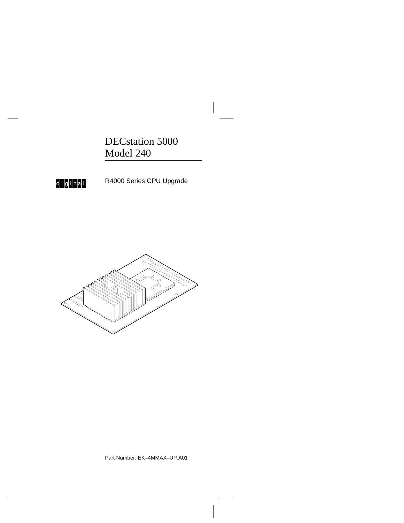DECstation 5000 Model 240

 $\overline{\phantom{a}}$ 



R4000 Series CPU Upgrade



Part Number: EK–4MMAX–UP.A01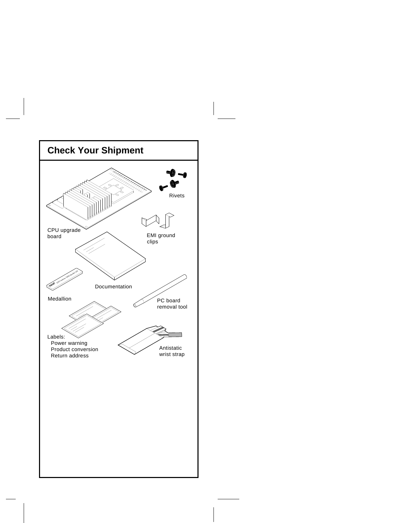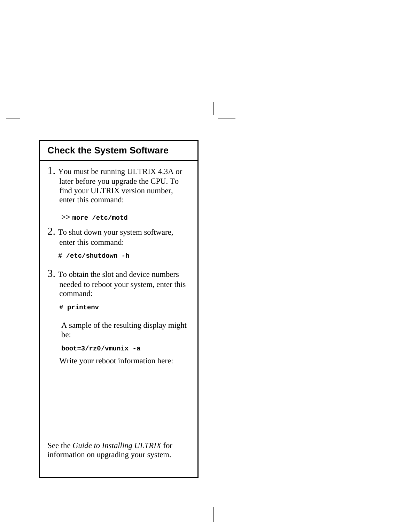### **Check the System Software**

1. You must be running ULTRIX 4.3A or later before you upgrade the CPU. To find your ULTRIX version number, enter this command:

**>> more /etc/motd**

- 2. To shut down your system software, enter this command:
	- **# /etc/shutdown -h**
- 3. To obtain the slot and device numbers needed to reboot your system, enter this command:

**# printenv**

 A sample of the resulting display might be:

**boot=3/rz0/vmunix -a**

Write your reboot information here:

See the *Guide to Installing ULTRIX* for information on upgrading your system.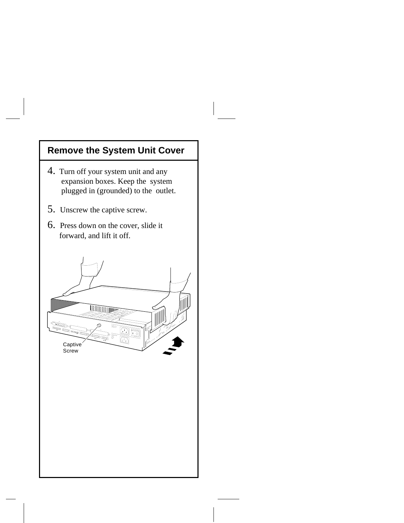# **Remove the System Unit Cover**

- 4. Turn off your system unit and any expansion boxes. Keep the system plugged in (grounded) to the outlet.
- 5. Unscrew the captive screw.
- 6. Press down on the cover, slide it forward, and lift it off.

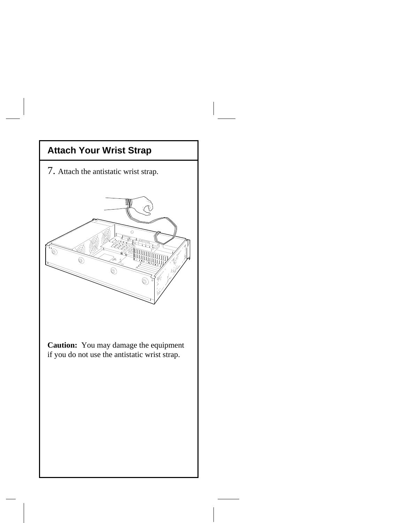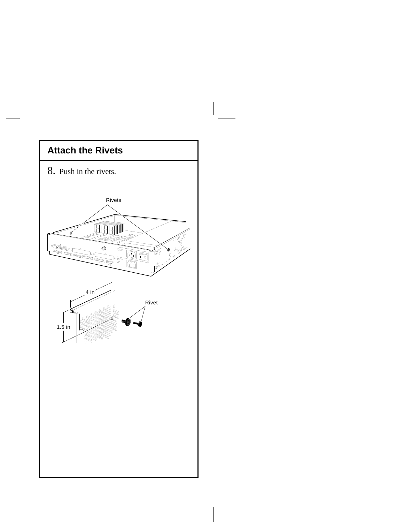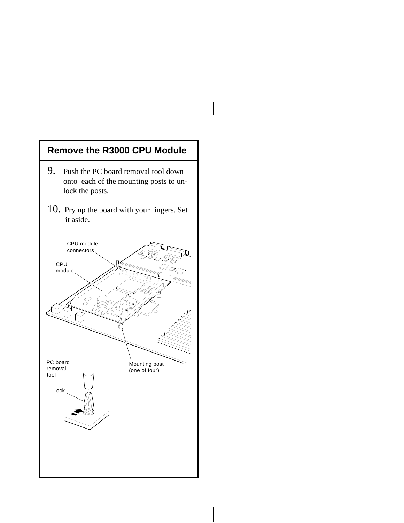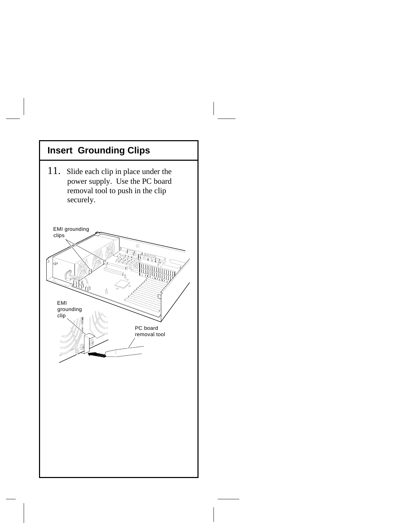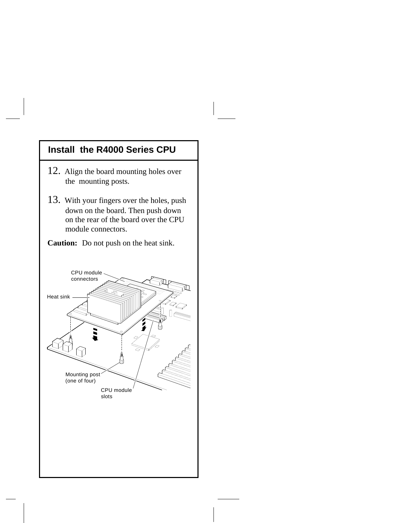#### **Install the R4000 Series CPU**

- 12. Align the board mounting holes over the mounting posts.
- 13. With your fingers over the holes, push down on the board. Then push down on the rear of the board over the CPU module connectors.

**Caution:** Do not push on the heat sink.

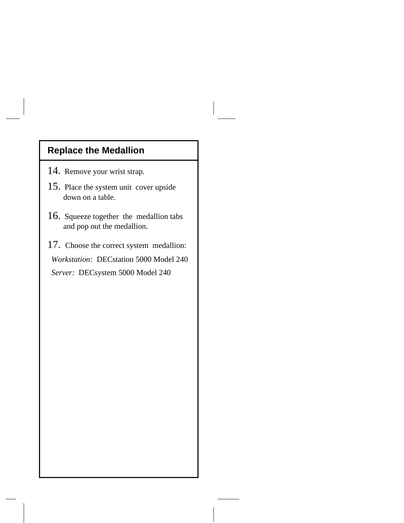## **Replace the Medallion**

- 14. Remove your wrist strap.
- 15. Place the system unit cover upside down on a table.
- 16. Squeeze together the medallion tabs and pop out the medallion.
- 17. Choose the correct system medallion: *Workstation:* DECstation 5000 Model 240  *Server:* DECsystem 5000 Model 240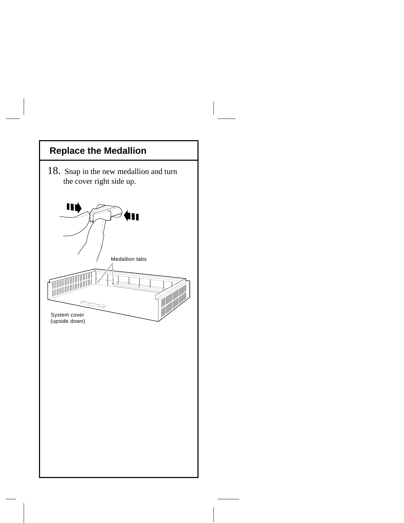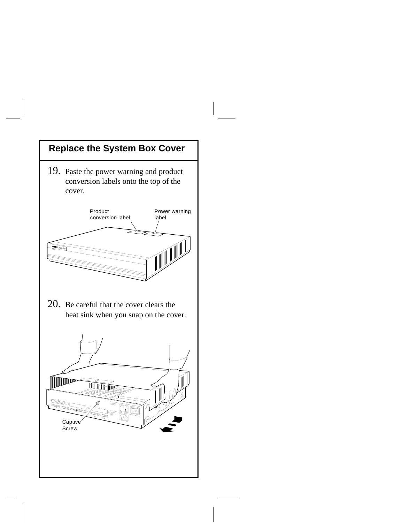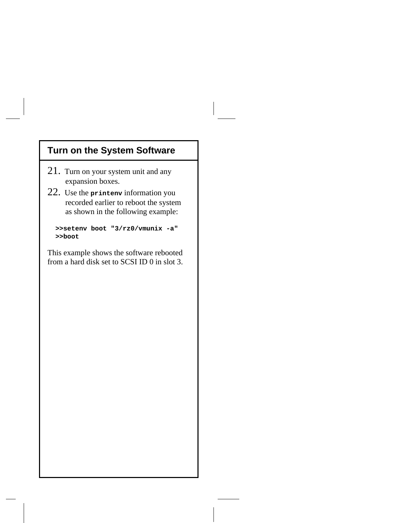## **Turn on the System Software**

- 21. Turn on your system unit and any expansion boxes.
- 22. Use the **printenv** information you recorded earlier to reboot the system as shown in the following example:

 **>>setenv boot "3/rz0/vmunix -a" >>boot**

This example shows the software rebooted from a hard disk set to SCSI ID 0 in slot 3.